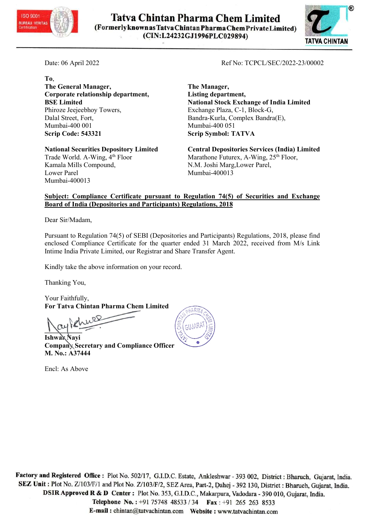

**Tatva Chintan Pharma Chem Limited** (Formerlyknown as Tatva Chintan Pharma Chem Private Limited) (CIN:L24232GJ1996PLC029894)



To, The General Manager, The Manager, Corporate relationship department, Listing department, Phiroze Jeejeebhoy Towers, Exchange Plaza, C-1, Block-G, Dalal Street, Fort, Bandra-Kurla, Complex Bandra(E), Mumbai-400 001 Mumbai-400 051 Scrip Code: 543321 Scrip Symbol: TATVA

Trade World. A-Wing, 4<sup>th</sup> Floor Marathone Futurex, A-Wing, 25<sup>th</sup> Floor, Kamala Mills Compound, N.M. Joshi Marg,Lower Parel, Lower Parel Mumbai-400013 Mumbai-400013

Date: 06 April 2022 Ref No: TCPCL/SEC/2022-23/00002

BSE Limited **National Stock Exchange of India Limited** 

National Securities Depository Limited Central Depositories Services (India) Limited

## Subject: Compliance Certificate pursuant to Regulation 74(5) of Securities and Exchange Board of India (Depositories and Participants) Regulations, 2018

Dear Sir/Madam,

Pursuant to Regulation 74(5) of SEBI (Depositories and Participants) Regulations, 2018, please find enclosed Compliance Certificate for the quarter ended 31 March 2022, received from M/s Link Intime India Private Limited, our Registrar and Share Transfer Agent.

Kindly take the above information on your record.

Thanking You,

Your Faithfully, For Tatva Chintan Pharma Chem Limited

 $\frac{1}{\sqrt{2}}$ 

**Ishwak Navi** Company Secretary and Compliance Officer M. No.: A37444

Encl: As Above



Factory and Registered Office: Plot No. 502/17, G.I.D.C. Estate, Ankleshwar - 393 002, District: Bharuch, Gujarat, India. SEZ Unit : Plot No. Z/103/F/1 and Plot No. Z/103/F/2, SEZ Area, Part-2, Dahej - 392 130, District : Bharuch, Gujarat, India. DSIR Approved R & D Center: Plot No. 353, G.I.D.C., Makarpura, Vadodara - 390 010, Gujarat, India. Telephone No.: +91 75748 48533 / 34 Fax: +91 265 263 8533